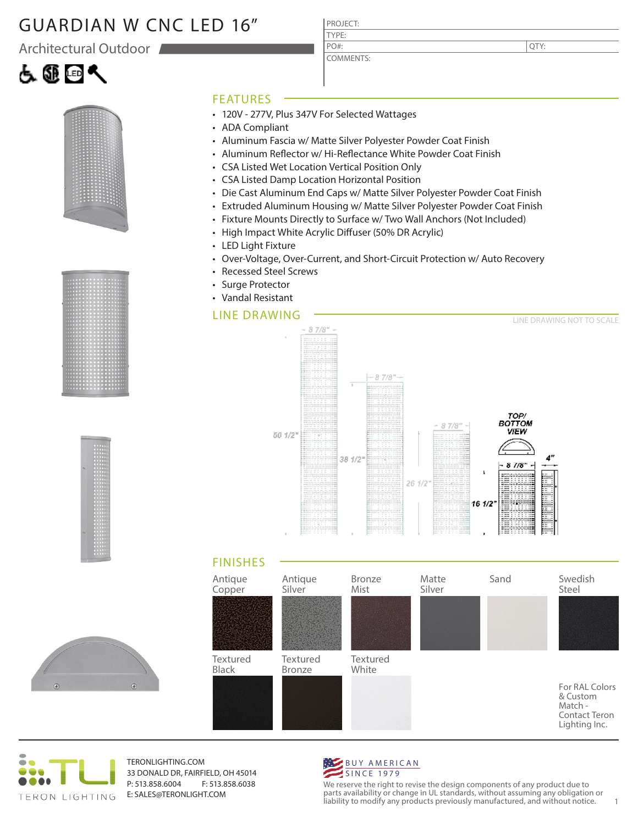#### GUARDIAN W CNC LED 16"

Architectural Outdoor

# よ@回へ









#### FEATURES

- 120V 277V, Plus 347V For Selected Wattages
- ADA Compliant
- Aluminum Fascia w/ Matte Silver Polyester Powder Coat Finish

PROJECT: TYPE:

PO#:

COMMENTS:

- Aluminum Reflector w/ Hi-Reflectance White Powder Coat Finish
- CSA Listed Wet Location Vertical Position Only
- CSA Listed Damp Location Horizontal Position
- Die Cast Aluminum End Caps w/ Matte Silver Polyester Powder Coat Finish
- Extruded Aluminum Housing w/ Matte Silver Polyester Powder Coat Finish
- Fixture Mounts Directly to Surface w/ Two Wall Anchors (Not Included)
- High Impact White Acrylic Diffuser (50% DR Acrylic)
- LED Light Fixture
- Over-Voltage, Over-Current, and Short-Circuit Protection w/ Auto Recovery
- Recessed Steel Screws
- Surge Protector • Vandal Resistant

#### LINE DRAWING







TERONLIGHTING.COM 33 DONALD DR, FAIRFIELD, OH 45014 P: 513.858.6004 F: 513.858.6038 E: SALES@TERONLIGHT.COM



We reserve the right to revise the design components of any product due to parts availability or change in UL standards, without assuming any obligation or liability to modify any products previously manufactured, and without notice. 1

QTY: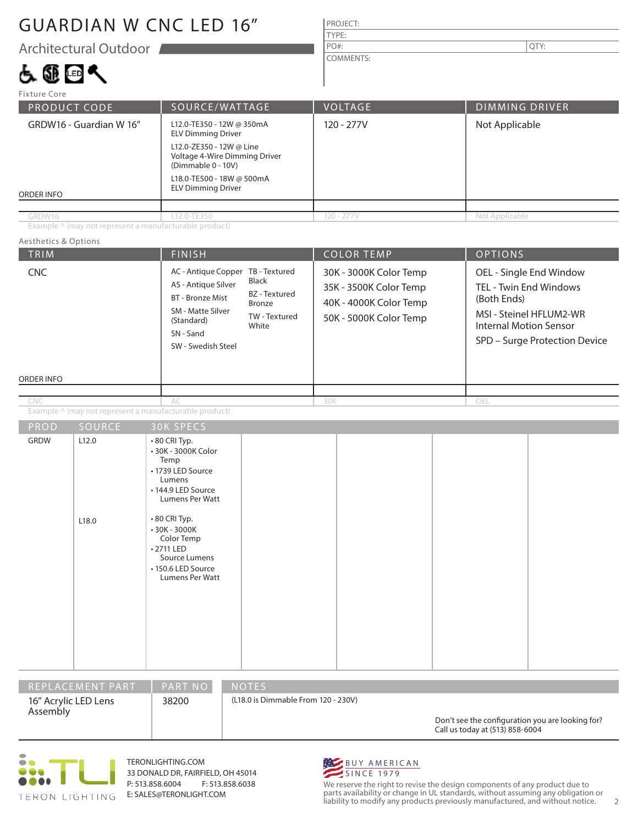### GUARDIAN W CNC LED 16"

Architectural Outdoor

## よ蠅回へ

| PROJECT:         |      |
|------------------|------|
| TYPE:            |      |
| PO#:             | QTY: |
| <b>COMMENTS:</b> |      |

| <b>Fixture Core</b>     |                                                                                 |                |                       |  |
|-------------------------|---------------------------------------------------------------------------------|----------------|-----------------------|--|
| PRODUCT CODE            | SOURCE/WATTAGE                                                                  | <b>VOLTAGE</b> | <b>DIMMING DRIVER</b> |  |
| GRDW16 - Guardian W 16" | L12.0-TE350 - 12W @ 350mA<br><b>ELV Dimming Driver</b>                          | 120 - 277V     | Not Applicable        |  |
|                         | L12.0-ZE350 - 12W @ Line<br>Voltage 4-Wire Dimming Driver<br>(Dimmable 0 - 10V) |                |                       |  |
| ORDER INFO              | L18.0-TE500 - 18W @ 500mA<br><b>ELV Dimming Driver</b>                          |                |                       |  |
|                         |                                                                                 |                |                       |  |
| GRDW16                  | L12.0-TE350                                                                     | $120 - 277V$   | Not Applicable        |  |

Example ^ (may not represent a manufacturable product)

#### TRIM FINISH COLOR TEMP OPTIONS ORDER INFO Aesthetics & Options PROD SOURCE Example ^ (may not represent a manufacturable product) 30K - 3000K Color Temp 35K - 3500K Color Temp 40K - 4000K Color Temp 50K - 5000K Color Temp OEL - Single End Window TEL - Twin End Windows (Both Ends) MSI - Steinel HFLUM2-WR Internal Motion Sensor SPD – Surge Protection Device AC 30K OEL GRDW | L12.0 L18.0 • 80 CRI Typ. • 30K - 3000K Color Temp • 1739 LED Source Lumens • 144.9 LED Source Lumens Per Watt • 80 CRI Typ. • 30K - 3000K Color Temp • 2711 LED Source Lumens • 150.6 LED Source AC - Antique Copper TB - Textured AS - Antique Silver BT - Bronze Mist SM - Matte Silver (Standard) SN - Sand SW - Swedish Steel Black BZ - Textured Bronze TW - Textured White CNC CNC

|                                  | REPLACEMENT PART | <b>PART NO</b> | <b>NOTES</b>                        |                                                                                     |  |
|----------------------------------|------------------|----------------|-------------------------------------|-------------------------------------------------------------------------------------|--|
| 16" Acrylic LED Lens<br>Assembly |                  | 38200          | (L18.0 is Dimmable From 120 - 230V) | Don't see the configuration you are looking for?<br>Call us today at (513) 858-6004 |  |



TERONLIGHTING.COM 33 DONALD DR, FAIRFIELD, OH 45014 P: 513.858.6004 F: 513.858.6038 E: SALES@TERONLIGHT.COM

Lumens Per Watt



We reserve the right to revise the design components of any product due to parts availability or change in UL standards, without assuming any obligation or liability to modify any products previously manufactured, and without notice. 2